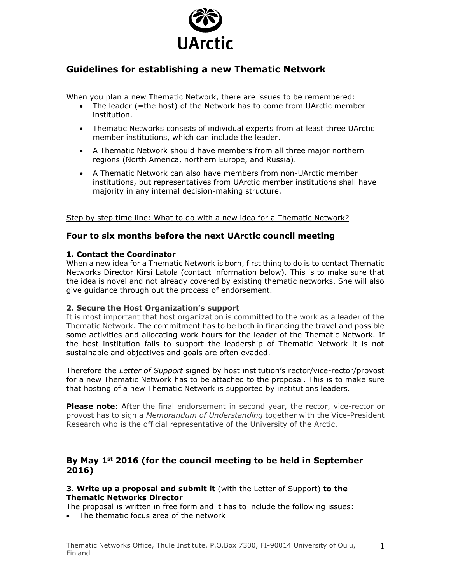

# **Guidelines for establishing a new Thematic Network**

When you plan a new Thematic Network, there are issues to be remembered:

- The leader (=the host) of the Network has to come from UArctic member institution.
- Thematic Networks consists of individual experts from at least three UArctic member institutions, which can include the leader.
- A Thematic Network should have members from all three major northern regions (North America, northern Europe, and Russia).
- A Thematic Network can also have members from non-UArctic member institutions, but representatives from UArctic member institutions shall have majority in any internal decision-making structure.

Step by step time line: What to do with a new idea for a Thematic Network?

## **Four to six months before the next UArctic council meeting**

#### **1. Contact the Coordinator**

When a new idea for a Thematic Network is born, first thing to do is to contact Thematic Networks Director Kirsi Latola (contact information below). This is to make sure that the idea is novel and not already covered by existing thematic networks. She will also give guidance through out the process of endorsement.

#### **2. Secure the Host Organization's support**

It is most important that host organization is committed to the work as a leader of the Thematic Network. The commitment has to be both in financing the travel and possible some activities and allocating work hours for the leader of the Thematic Network. If the host institution fails to support the leadership of Thematic Network it is not sustainable and objectives and goals are often evaded.

Therefore the *Letter of Support* signed by host institution's rector/vice-rector/provost for a new Thematic Network has to be attached to the proposal. This is to make sure that hosting of a new Thematic Network is supported by institutions leaders.

**Please note**: After the final endorsement in second year, the rector, vice-rector or provost has to sign a *Memorandum of Understanding* together with the Vice-President Research who is the official representative of the University of the Arctic.

## **By May 1st 2016 (for the council meeting to be held in September 2016)**

**3. Write up a proposal and submit it** (with the Letter of Support) **to the Thematic Networks Director**

The proposal is written in free form and it has to include the following issues:

The thematic focus area of the network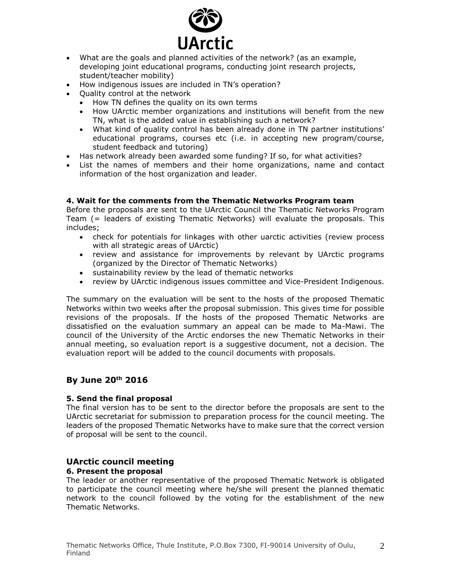

- What are the goals and planned activities of the network? (as an example, developing joint educational programs, conducting joint research projects, student/teacher mobility)
- How indigenous issues are included in TN's operation?
- Ouality control at the network
	- How TN defines the quality on its own terms
	- How UArctic member organizations and institutions will benefit from the new TN, what is the added value in establishing such a network?
	- What kind of quality control has been already done in TN partner institutions' educational programs, courses etc (i.e. in accepting new program/course, student feedback and tutoring)
- Has network already been awarded some funding? If so, for what activities?
- List the names of members and their home organizations, name and contact information of the host organization and leader.

### **4. Wait for the comments from the Thematic Networks Program team**

Before the proposals are sent to the UArctic Council the Thematic Networks Program Team (= leaders of existing Thematic Networks) will evaluate the proposals. This includes;

- check for potentials for linkages with other uarctic activities (review process with all strategic areas of UArctic)
- review and assistance for improvements by relevant by UArctic programs (organized by the Director of Thematic Networks)
- sustainability review by the lead of thematic networks
- review by UArctic indigenous issues committee and Vice-President Indigenous.

The summary on the evaluation will be sent to the hosts of the proposed Thematic Networks within two weeks after the proposal submission. This gives time for possible revisions of the proposals. If the hosts of the proposed Thematic Networks are dissatisfied on the evaluation summary an appeal can be made to Ma-Mawi. The council of the University of the Arctic endorses the new Thematic Networks in their annual meeting, so evaluation report is a suggestive document, not a decision. The evaluation report will be added to the council documents with proposals.

# **By June 20th 2016**

### **5. Send the final proposal**

The final version has to be sent to the director before the proposals are sent to the UArctic secretariat for submission to preparation process for the council meeting. The leaders of the proposed Thematic Networks have to make sure that the correct version of proposal will be sent to the council.

# **UArctic council meeting**

### **6. Present the proposal**

The leader or another representative of the proposed Thematic Network is obligated to participate the council meeting where he/she will present the planned thematic network to the council followed by the voting for the establishment of the new Thematic Networks.